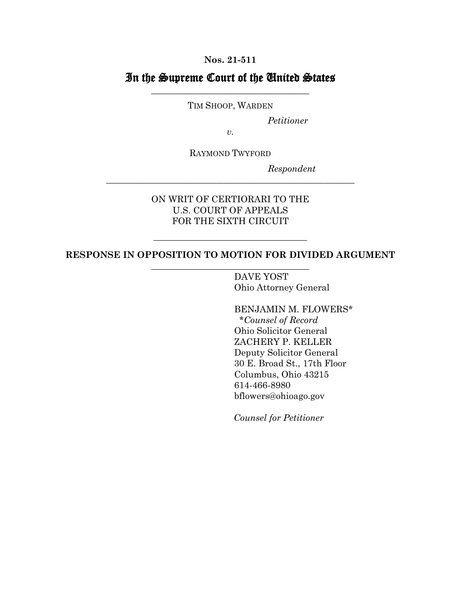**Nos. 21-511**

## In the Supreme Court of the United States \_\_\_\_\_\_\_\_\_\_\_\_\_\_\_\_\_\_\_\_\_\_\_\_\_\_\_\_\_\_\_\_\_\_\_

TIM SHOOP, WARDEN

*Petitioner*

*v.* 

RAYMOND TWYFORD

\_\_\_\_\_\_\_\_\_\_\_\_\_\_\_\_\_\_\_\_\_\_\_\_\_\_\_\_\_\_\_\_\_\_\_\_\_\_\_\_\_\_\_\_\_\_\_\_\_\_\_\_\_\_\_

*Respondent*

ON WRIT OF CERTIORARI TO THE U.S. COURT OF APPEALS FOR THE SIXTH CIRCUIT

## **RESPONSE IN OPPOSITION TO MOTION FOR DIVIDED ARGUMENT** \_\_\_\_\_\_\_\_\_\_\_\_\_\_\_\_\_\_\_\_\_\_\_\_\_\_\_\_\_\_\_\_\_\_\_

\_\_\_\_\_\_\_\_\_\_\_\_\_\_\_\_\_\_\_\_\_\_\_\_\_\_\_\_\_\_\_\_\_\_

DAVE YOST Ohio Attorney General

BENJAMIN M. FLOWERS\* \**Counsel of Record* Ohio Solicitor General ZACHERY P. KELLER Deputy Solicitor General 30 E. Broad St., 17th Floor Columbus, Ohio 43215 614-466-8980 bflowers@ohioago.gov

*Counsel for Petitioner*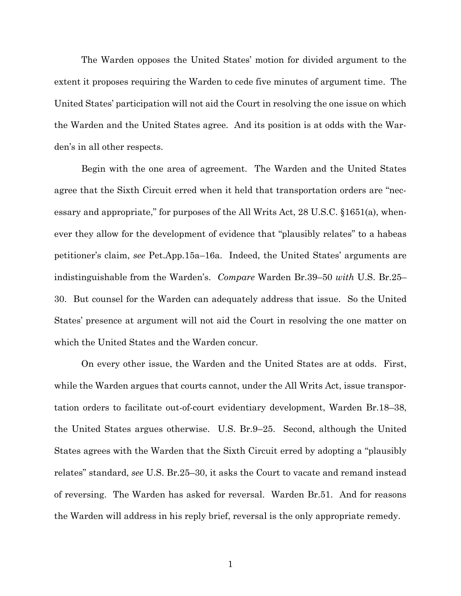The Warden opposes the United States' motion for divided argument to the extent it proposes requiring the Warden to cede five minutes of argument time. The United States' participation will not aid the Court in resolving the one issue on which the Warden and the United States agree. And its position is at odds with the Warden's in all other respects.

Begin with the one area of agreement. The Warden and the United States agree that the Sixth Circuit erred when it held that transportation orders are "necessary and appropriate," for purposes of the All Writs Act, 28 U.S.C. §1651(a), whenever they allow for the development of evidence that "plausibly relates" to a habeas petitioner's claim, *see* Pet.App.15a–16a. Indeed, the United States' arguments are indistinguishable from the Warden's. *Compare* Warden Br.39–50 *with* U.S. Br.25– 30. But counsel for the Warden can adequately address that issue. So the United States' presence at argument will not aid the Court in resolving the one matter on which the United States and the Warden concur.

On every other issue, the Warden and the United States are at odds. First, while the Warden argues that courts cannot, under the All Writs Act, issue transportation orders to facilitate out-of-court evidentiary development, Warden Br.18–38, the United States argues otherwise. U.S. Br.9–25. Second, although the United States agrees with the Warden that the Sixth Circuit erred by adopting a "plausibly relates" standard, *see* U.S. Br.25–30, it asks the Court to vacate and remand instead of reversing. The Warden has asked for reversal. Warden Br.51. And for reasons the Warden will address in his reply brief, reversal is the only appropriate remedy.